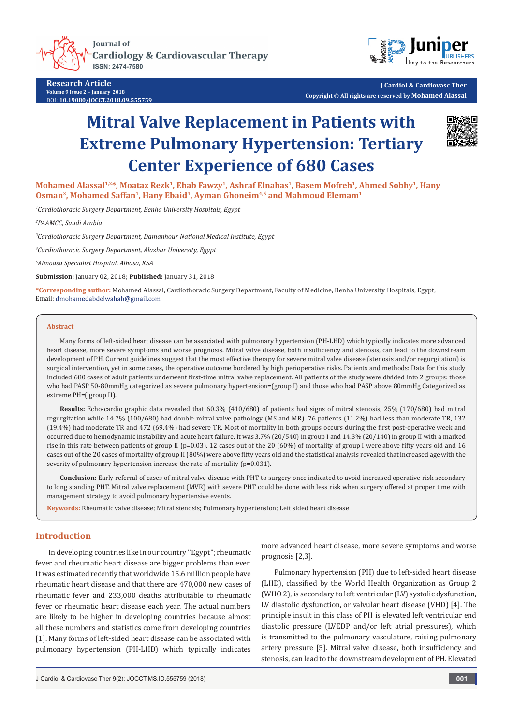**Journal of Cardiology & Cardiovascular Therapy** ISSN: 2474-7580



**Research Article Volume 9 Issue 2** - **January 2018** DOI: **[10.19080/JOCCT.2018.09.555759](http://dx.doi.org/10.19080/JOCCT.2018.09.555759)**

**J Cardiol & Cardiovasc Ther Copyright © All rights are reserved by Mohamed Alassal**

# **Mitral Valve Replacement in Patients with Extreme Pulmonary Hypertension: Tertiary Center Experience of 680 Cases**



Mohamed Alassal<sup>1,2\*</sup>, Moataz Rezk<sup>1</sup>, Ehab Fawzy<sup>1</sup>, Ashraf Elnahas<sup>1</sup>, Basem Mofreh<sup>1</sup>, Ahmed Sobhy<sup>1</sup>, Hany **Osman3, Mohamed Saffan1, Hany Ebaid4, Ayman Ghoneim4,5 and Mahmoud Elemam1**

*1 Cardiothoracic Surgery Department, Benha University Hospitals, Egypt*

*2 PAAMCC, Saudi Arabia*

*3 Cardiothoracic Surgery Department, Damanhour National Medical Institute, Egypt*

*4 Cardiothoracic Surgery Department, Alazhar University, Egypt*

*5 Almoasa Specialist Hospital, Alhasa, KSA*

**Submission:** January 02, 2018; **Published:** January 31, 2018

**\*Corresponding author:** Mohamed Alassal, Cardiothoracic Surgery Department, Faculty of Medicine, Benha University Hospitals, Egypt, Email: dmohamedabdelwahab@gmail.com

#### **Abstract**

Many forms of left-sided heart disease can be associated with pulmonary hypertension (PH-LHD) which typically indicates more advanced heart disease, more severe symptoms and worse prognosis. Mitral valve disease, both insufficiency and stenosis, can lead to the downstream development of PH. Current guidelines suggest that the most effective therapy for severe mitral valve disease (stenosis and/or regurgitation) is surgical intervention, yet in some cases, the operative outcome bordered by high perioperative risks. Patients and methods: Data for this study included 680 cases of adult patients underwent first-time mitral valve replacement. All patients of the study were divided into 2 groups: those who had PASP 50-80mmHg categorized as severe pulmonary hypertension=(group I) and those who had PASP above 80mmHg Categorized as extreme PH=( group II).

**Results:** Echo-cardio graphic data revealed that 60.3% (410/680) of patients had signs of mitral stenosis, 25% (170/680) had mitral regurgitation while 14.7% (100/680) had double mitral valve pathology (MS and MR). 76 patients (11.2%) had less than moderate TR, 132 (19.4%) had moderate TR and 472 (69.4%) had severe TR. Most of mortality in both groups occurs during the first post-operative week and occurred due to hemodynamic instability and acute heart failure. It was 3.7% (20/540) in group I and 14.3% (20/140) in group II with a marked rise in this rate between patients of group II (p=0.03). 12 cases out of the 20 (60%) of mortality of group I were above fifty years old and 16 cases out of the 20 cases of mortality of group II (80%) were above fifty years old and the statistical analysis revealed that increased age with the severity of pulmonary hypertension increase the rate of mortality (p=0.031).

**Conclusion:** Early referral of cases of mitral valve disease with PHT to surgery once indicated to avoid increased operative risk secondary to long standing PHT. Mitral valve replacement (MVR) with severe PHT could be done with less risk when surgery offered at proper time with management strategy to avoid pulmonary hypertensive events.

**Keywords:** Rheumatic valve disease; Mitral stenosis; Pulmonary hypertension; Left sided heart disease

## **Introduction**

In developing countries like in our country ''Egypt''; rheumatic fever and rheumatic heart disease are bigger problems than ever. It was estimated recently that worldwide 15.6 million people have rheumatic heart disease and that there are 470,000 new cases of rheumatic fever and 233,000 deaths attributable to rheumatic fever or rheumatic heart disease each year. The actual numbers are likely to be higher in developing countries because almost all these numbers and statistics come from developing countries [1]. Many forms of left-sided heart disease can be associated with pulmonary hypertension (PH-LHD) which typically indicates

more advanced heart disease, more severe symptoms and worse prognosis [2,3].

Pulmonary hypertension (PH) due to left-sided heart disease (LHD), classified by the World Health Organization as Group 2 (WHO 2), is secondary to left ventricular (LV) systolic dysfunction, LV diastolic dysfunction, or valvular heart disease (VHD) [4]. The principle insult in this class of PH is elevated left ventricular end diastolic pressure (LVEDP and/or left atrial pressures), which is transmitted to the pulmonary vasculature, raising pulmonary artery pressure [5]. Mitral valve disease, both insufficiency and stenosis, can lead to the downstream development of PH. Elevated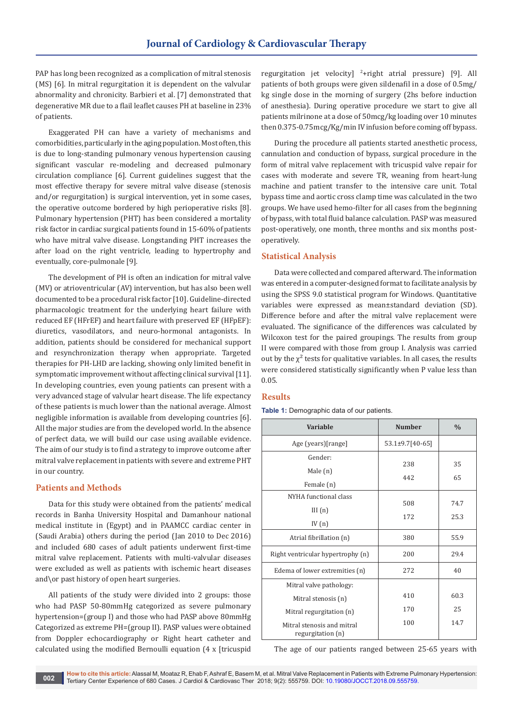PAP has long been recognized as a complication of mitral stenosis (MS) [6]. In mitral regurgitation it is dependent on the valvular abnormality and chronicity. Barbieri et al. [7] demonstrated that degenerative MR due to a flail leaflet causes PH at baseline in 23% of patients.

Exaggerated PH can have a variety of mechanisms and comorbidities, particularly in the aging population. Most often, this is due to long-standing pulmonary venous hypertension causing significant vascular re-modeling and decreased pulmonary circulation compliance [6]. Current guidelines suggest that the most effective therapy for severe mitral valve disease (stenosis and/or regurgitation) is surgical intervention, yet in some cases, the operative outcome bordered by high perioperative risks [8]. Pulmonary hypertension (PHT) has been considered a mortality risk factor in cardiac surgical patients found in 15-60% of patients who have mitral valve disease. Longstanding PHT increases the after load on the right ventricle, leading to hypertrophy and eventually, core-pulmonale [9].

The development of PH is often an indication for mitral valve (MV) or atrioventricular (AV) intervention, but has also been well documented to be a procedural risk factor [10]. Guideline-directed pharmacologic treatment for the underlying heart failure with reduced EF (HFrEF) and heart failure with preserved EF (HFpEF): diuretics, vasodilators, and neuro-hormonal antagonists. In addition, patients should be considered for mechanical support and resynchronization therapy when appropriate. Targeted therapies for PH-LHD are lacking, showing only limited benefit in symptomatic improvement without affecting clinical survival [11]. In developing countries, even young patients can present with a very advanced stage of valvular heart disease. The life expectancy of these patients is much lower than the national average. Almost negligible information is available from developing countries [6]. All the major studies are from the developed world. In the absence of perfect data, we will build our case using available evidence. The aim of our study is to find a strategy to improve outcome after mitral valve replacement in patients with severe and extreme PHT in our country.

# **Patients and Methods**

Data for this study were obtained from the patients' medical records in Banha University Hospital and Damanhour national medical institute in (Egypt) and in PAAMCC cardiac center in (Saudi Arabia) others during the period (Jan 2010 to Dec 2016) and included 680 cases of adult patients underwent first-time mitral valve replacement. Patients with multi-valvular diseases were excluded as well as patients with ischemic heart diseases and\or past history of open heart surgeries.

All patients of the study were divided into 2 groups: those who had PASP 50-80mmHg categorized as severe pulmonary hypertension=(group I) and those who had PASP above 80mmHg Categorized as extreme PH=(group II). PASP values were obtained from Doppler echocardiography or Right heart catheter and calculated using the modified Bernoulli equation (4 x [tricuspid

regurgitation jet velocity] <sup>2</sup> +right atrial pressure) [9]. All patients of both groups were given sildenafil in a dose of 0.5mg/ kg single dose in the morning of surgery (2hs before induction of anesthesia). During operative procedure we start to give all patients milrinone at a dose of 50mcg/kg loading over 10 minutes then 0.375-0.75mcg/Kg/min IV infusion before coming off bypass.

During the procedure all patients started anesthetic process, cannulation and conduction of bypass, surgical procedure in the form of mitral valve replacement with tricuspid valve repair for cases with moderate and severe TR, weaning from heart-lung machine and patient transfer to the intensive care unit. Total bypass time and aortic cross clamp time was calculated in the two groups. We have used hemo-filter for all cases from the beginning of bypass, with total fluid balance calculation. PASP was measured post-operatively, one month, three months and six months postoperatively.

# **Statistical Analysis**

Data were collected and compared afterward. The information was entered in a computer-designed format to facilitate analysis by using the SPSS 9.0 statistical program for Windows. Quantitative variables were expressed as mean±standard deviation (SD). Difference before and after the mitral valve replacement were evaluated. The significance of the differences was calculated by Wilcoxon test for the paired groupings. The results from group II were compared with those from group I. Analysis was carried out by the  $\chi^2$  tests for qualitative variables. In all cases, the results were considered statistically significantly when P value less than 0.05.

# **Results**

**Table 1:** Demographic data of our patients.

| Variable                                                                   | <b>Number</b>     | $\frac{0}{0}$      |
|----------------------------------------------------------------------------|-------------------|--------------------|
| Age (years)[range]                                                         | 53.1±9.7[40-65]   |                    |
| Gender:<br>Male $(n)$<br>Female (n)                                        | 238<br>442        | 35<br>65           |
| NYHA functional class<br>III(n)<br>IV $(n)$                                | 508<br>172        | 74.7<br>25.3       |
| Atrial fibrillation (n)                                                    | 380               | 55.9               |
| Right ventricular hypertrophy (n)                                          | 200               | 29.4               |
| Edema of lower extremities (n)                                             | 272               | 40                 |
| Mitral valve pathology:<br>Mitral stenosis (n)<br>Mitral regurgitation (n) | 410<br>170<br>100 | 60.3<br>25<br>14.7 |
| Mitral stenosis and mitral<br>regurgitation (n)                            |                   |                    |

The age of our patients ranged between 25-65 years with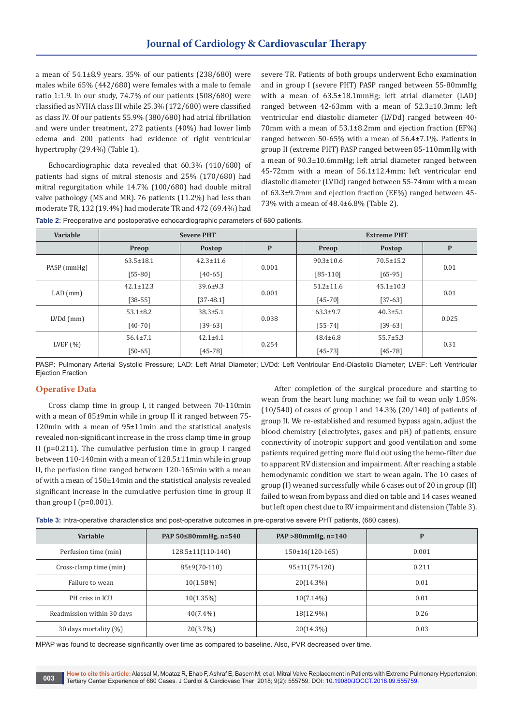a mean of  $54.1\pm8.9$  years. 35% of our patients (238/680) were males while 65% (442/680) were females with a male to female ratio 1:1.9. In our study, 74.7% of our patients (508/680) were classified as NYHA class III while 25.3% (172/680) were classified as class IV. Of our patients 55.9% (380/680) had atrial fibrillation and were under treatment, 272 patients (40%) had lower limb edema and 200 patients had evidence of right ventricular hypertrophy (29.4%) (Table 1).

Echocardiographic data revealed that 60.3% (410/680) of patients had signs of mitral stenosis and 25% (170/680) had mitral regurgitation while 14.7% (100/680) had double mitral valve pathology (MS and MR). 76 patients (11.2%) had less than moderate TR, 132 (19.4%) had moderate TR and 472 (69.4%) had

severe TR. Patients of both groups underwent Echo examination and in group I (severe PHT) PASP ranged between 55-80mmHg with a mean of 63.5±18.1mmHg; left atrial diameter (LAD) ranged between 42-63mm with a mean of 52.3±10.3mm; left ventricular end diastolic diameter (LVDd) ranged between 40- 70mm with a mean of 53.1±8.2mm and ejection fraction (EF%) ranged between 50-65% with a mean of 56.4±7.1%. Patients in group II (extreme PHT) PASP ranged between 85-110mmHg with a mean of 90.3±10.6mmHg; left atrial diameter ranged between 45-72mm with a mean of 56.1±12.4mm; left ventricular end diastolic diameter (LVDd) ranged between 55-74mm with a mean of 63.3±9.7mm and ejection fraction (EF%) ranged between 45- 73% with a mean of 48.4±6.8% (Table 2).

| Variable     | <b>Severe PHT</b> |                 | <b>Extreme PHT</b> |                 |                 |       |
|--------------|-------------------|-----------------|--------------------|-----------------|-----------------|-------|
|              | Preop             | <b>Postop</b>   | P                  | Preop           | <b>Postop</b>   | P     |
|              | $63.5 \pm 18.1$   | $42.3 \pm 11.6$ | 0.001              | $90.3 \pm 10.6$ | $70.5 \pm 15.2$ |       |
| PASP (mmHg)  | $[55-80]$         | $[40-65]$       |                    | $[85-110]$      | $[65-95]$       | 0.01  |
|              | $42.1 \pm 12.3$   | $39.6 \pm 9.3$  | 0.001              | $51.2 \pm 11.6$ | $45.1 \pm 10.3$ | 0.01  |
| $LAD$ (mm)   | $[38-55]$         | [37-48.1]       |                    | $[45 - 70]$     | $[37-63]$       |       |
|              | $53.1 \pm 8.2$    | $38.3 \pm 5.1$  | 0.038              | $63.3+9.7$      | $40.3 \pm 5.1$  | 0.025 |
| $LVDd$ (mm)  | $[40-70]$         | $[39-63]$       |                    | $[55 - 74]$     | $[39-63]$       |       |
| LVEF $(\% )$ | $56.4 \pm 7.1$    | $42.1 \pm 4.1$  | 0.254              | $48.4 \pm 6.8$  | $55.7 \pm 5.3$  | 0.31  |
|              | $[50-65]$         | $[45-78]$       |                    | $[45-73]$       | $[45-78]$       |       |

PASP: Pulmonary Arterial Systolic Pressure; LAD: Left Atrial Diameter; LVDd: Left Ventricular End-Diastolic Diameter; LVEF: Left Ventricular Ejection Fraction

### **Operative Data**

Cross clamp time in group I, it ranged between 70-110min with a mean of 85±9min while in group II it ranged between 75- 120min with a mean of 95±11min and the statistical analysis revealed non-significant increase in the cross clamp time in group II (p=0.211). The cumulative perfusion time in group I ranged between 110-140min with a mean of 128.5±11min while in group II, the perfusion time ranged between 120-165min with a mean of with a mean of 150±14min and the statistical analysis revealed significant increase in the cumulative perfusion time in group II than group  $I$  (p=0.001).

After completion of the surgical procedure and starting to wean from the heart lung machine; we fail to wean only 1.85% (10/540) of cases of group I and 14.3% (20/140) of patients of group II. We re-established and resumed bypass again, adjust the blood chemistry (electrolytes, gases and pH) of patients, ensure connectivity of inotropic support and good ventilation and some patients required getting more fluid out using the hemo-filter due to apparent RV distension and impairment. After reaching a stable hemodynamic condition we start to wean again. The 10 cases of group (I) weaned successfully while 6 cases out of 20 in group (II) failed to wean from bypass and died on table and 14 cases weaned but left open chest due to RV impairment and distension (Table 3).

| Table 3: Intra-operative characteristics and post-operative outcomes in pre-operative severe PHT patients, (680 cases). |  |
|-------------------------------------------------------------------------------------------------------------------------|--|
|-------------------------------------------------------------------------------------------------------------------------|--|

| Variable                   | PAP 50≤80mmHg, n=540    | PAP $>80$ mmHg, n=140 | P     |
|----------------------------|-------------------------|-----------------------|-------|
| Perfusion time (min)       | $128.5 \pm 11(110-140)$ | $150\pm14(120-165)$   | 0.001 |
| Cross-clamp time (min)     | $85\pm9(70-110)$        | $95 \pm 11(75 - 120)$ | 0.211 |
| Failure to wean            | $10(1.58\%)$            | $20(14.3\%)$          | 0.01  |
| PH criss in ICU            | $10(1.35\%)$            | $10(7.14\%)$          | 0.01  |
| Readmission within 30 days | $40(7.4\%)$             | 18(12.9%)             | 0.26  |
| 30 days mortality (%)      | 20(3.7%)                | $20(14.3\%)$          | 0.03  |

MPAP was found to decrease significantly over time as compared to baseline. Also, PVR decreased over time.

**How to cite this article:**Alassal M, Moataz R, Ehab F, Ashraf E, Basem M, et al. Mitral Valve Replacement in Patients with Extreme Pulmonary Hypertension: Tertiary Center Experience of 680 Cases. J Cardiol & Cardiovasc Ther 2018; 9(2): 555759. DOI: [10.19080/JOCCT.2018.09.555759](http://dx.doi.org/10.19080/JOCCT.2018.09.555759). **003**<br>Tertiary Center Experience of 680 Cases. J Cardiol & Cardiovasc Ther 2018; 9(2): 555759. DO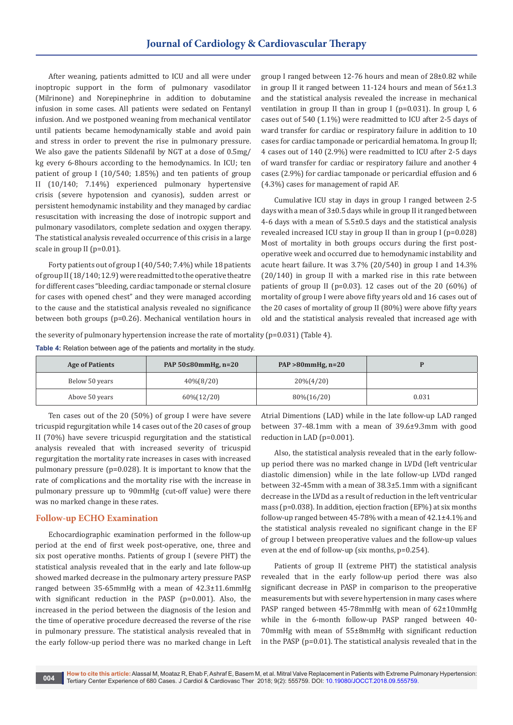After weaning, patients admitted to ICU and all were under inoptropic support in the form of pulmonary vasodilator (Milrinone) and Norepinephrine in addition to dobutamine infusion in some cases. All patients were sedated on Fentanyl infusion. And we postponed weaning from mechanical ventilator until patients became hemodynamically stable and avoid pain and stress in order to prevent the rise in pulmonary pressure. We also gave the patients Sildenafil by NGT at a dose of 0.5mg/ kg every 6-8hours according to the hemodynamics. In ICU; ten patient of group I (10/540; 1.85%) and ten patients of group II (10/140; 7.14%) experienced pulmonary hypertensive crisis (severe hypotension and cyanosis), sudden arrest or persistent hemodynamic instability and they managed by cardiac resuscitation with increasing the dose of inotropic support and pulmonary vasodilators, complete sedation and oxygen therapy. The statistical analysis revealed occurrence of this crisis in a large scale in group II (p=0.01).

Forty patients out of group I (40/540; 7.4%) while 18 patients of group II (18/140; 12.9) were readmitted to the operative theatre for different cases "bleeding, cardiac tamponade or sternal closure for cases with opened chest" and they were managed according to the cause and the statistical analysis revealed no significance between both groups (p=0.26). Mechanical ventilation hours in

group I ranged between 12-76 hours and mean of 28±0.82 while in group II it ranged between 11-124 hours and mean of 56±1.3 and the statistical analysis revealed the increase in mechanical ventilation in group II than in group I (p=0.031). In group I, 6 cases out of 540 (1.1%) were readmitted to ICU after 2-5 days of ward transfer for cardiac or respiratory failure in addition to 10 cases for cardiac tamponade or pericardial hematoma. In group II; 4 cases out of 140 (2.9%) were readmitted to ICU after 2-5 days of ward transfer for cardiac or respiratory failure and another 4 cases (2.9%) for cardiac tamponade or pericardial effusion and 6 (4.3%) cases for management of rapid AF.

Cumulative ICU stay in days in group I ranged between 2-5 days with a mean of 3±0.5 days while in group II it ranged between 4-6 days with a mean of 5.5±0.5 days and the statistical analysis revealed increased ICU stay in group II than in group I (p=0.028) Most of mortality in both groups occurs during the first postoperative week and occurred due to hemodynamic instability and acute heart failure. It was 3.7% (20/540) in group I and 14.3% (20/140) in group II with a marked rise in this rate between patients of group II (p=0.03). 12 cases out of the 20 (60%) of mortality of group I were above fifty years old and 16 cases out of the 20 cases of mortality of group II (80%) were above fifty years old and the statistical analysis revealed that increased age with

the severity of pulmonary hypertension increase the rate of mortality (p=0.031) (Table 4).

**Table 4:** Relation between age of the patients and mortality in the study.

| <b>Age of Patients</b> | PAP $50 \le 80$ mmHg, n=20 | $PAP > 80$ mmHg, n=20 |       |
|------------------------|----------------------------|-----------------------|-------|
| Below 50 years         | 40\%(8/20)                 | $20\%(4/20)$          |       |
| Above 50 years         | 60\%(12/20)                | 80\%(16/20)           | 0.031 |

Ten cases out of the 20 (50%) of group I were have severe tricuspid regurgitation while 14 cases out of the 20 cases of group II (70%) have severe tricuspid regurgitation and the statistical analysis revealed that with increased severity of tricuspid regurgitation the mortality rate increases in cases with increased pulmonary pressure (p=0.028). It is important to know that the rate of complications and the mortality rise with the increase in pulmonary pressure up to 90mmHg (cut-off value) were there was no marked change in these rates.

### **Follow-up ECHO Examination**

Echocardiographic examination performed in the follow-up period at the end of first week post-operative, one, three and six post operative months. Patients of group I (severe PHT) the statistical analysis revealed that in the early and late follow-up showed marked decrease in the pulmonary artery pressure PASP ranged between 35-65mmHg with a mean of 42.3±11.6mmHg with significant reduction in the PASP (p=0.001). Also, the increased in the period between the diagnosis of the lesion and the time of operative procedure decreased the reverse of the rise in pulmonary pressure. The statistical analysis revealed that in the early follow-up period there was no marked change in Left Atrial Dimentions (LAD) while in the late follow-up LAD ranged between 37-48.1mm with a mean of 39.6±9.3mm with good reduction in LAD (p=0.001).

Also, the statistical analysis revealed that in the early followup period there was no marked change in LVDd (left ventricular diastolic dimension) while in the late follow-up LVDd ranged between 32-45mm with a mean of 38.3±5.1mm with a significant decrease in the LVDd as a result of reduction in the left ventricular mass (p=0.038). In addition, ejection fraction (EF%) at six months follow-up ranged between 45-78% with a mean of  $42.1 \pm 4.1$ % and the statistical analysis revealed no significant change in the EF of group I between preoperative values and the follow-up values even at the end of follow-up (six months, p=0.254).

Patients of group II (extreme PHT) the statistical analysis revealed that in the early follow-up period there was also significant decrease in PASP in comparison to the preoperative measurements but with severe hypertension in many cases where PASP ranged between 45-78mmHg with mean of 62±10mmHg while in the 6-month follow-up PASP ranged between 40- 70mmHg with mean of 55±8mmHg with significant reduction in the PASP (p=0.01). The statistical analysis revealed that in the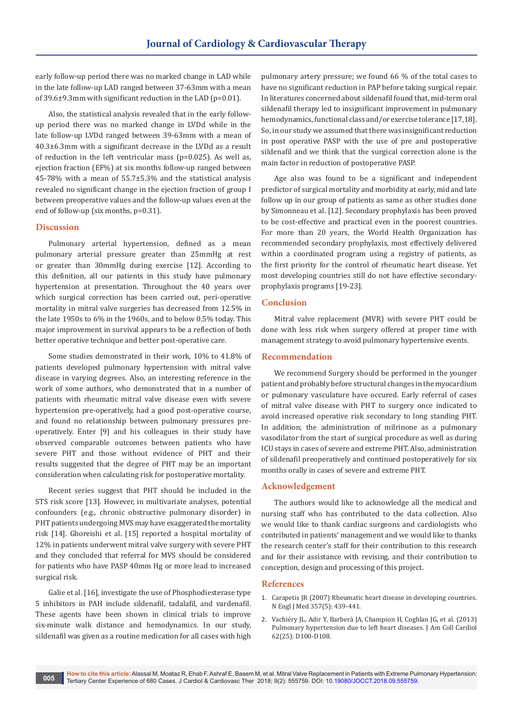early follow-up period there was no marked change in LAD while in the late follow-up LAD ranged between 37-63mm with a mean of 39.6±9.3mm with significant reduction in the LAD (p=0.01).

Also, the statistical analysis revealed that in the early followup period there was no marked change in LVDd while in the late follow-up LVDd ranged between 39-63mm with a mean of 40.3±6.3mm with a significant decrease in the LVDd as a result of reduction in the left ventricular mass (p=0.025). As well as, ejection fraction (EF%) at six months follow-up ranged between 45-78% with a mean of 55.7±5.3% and the statistical analysis revealed no significant change in the ejection fraction of group I between preoperative values and the follow-up values even at the end of follow-up (six months, p=0.31).

### **Discussion**

Pulmonary arterial hypertension, defined as a mean pulmonary arterial pressure greater than 25mmHg at rest or greater than 30mmHg during exercise [12]. According to this definition, all our patients in this study have pulmonary hypertension at presentation. Throughout the 40 years over which surgical correction has been carried out, peri-operative mortality in mitral valve surgeries has decreased from 12.5% in the late 1950s to 6% in the 1960s, and to below 0.5% today. This major improvement in survival appears to be a reflection of both better operative technique and better post-operative care.

Some studies demonstrated in their work, 10% to 41.8% of patients developed pulmonary hypertension with mitral valve disease in varying degrees. Also, an interesting reference in the work of some authors, who demonstrated that in a number of patients with rheumatic mitral valve disease even with severe hypertension pre-operatively, had a good post-operative course, and found no relationship between pulmonary pressures preoperatively. Enter [9] and his colleagues in their study have observed comparable outcomes between patients who have severe PHT and those without evidence of PHT and their results suggested that the degree of PHT may be an important consideration when calculating risk for postoperative mortality.

Recent series suggest that PHT should be included in the STS risk score [13]. However, in multivariate analyses, potential confounders (e.g., chronic obstructive pulmonary disorder) in PHT patients undergoing MVS may have exaggerated the mortality risk [14]. Ghoreishi et al. [15] reported a hospital mortality of 12% in patients underwent mitral valve surgery with severe PHT and they concluded that referral for MVS should be considered for patients who have PASP 40mm Hg or more lead to increased surgical risk.

Galie et al. [16], investigate the use of Phosphodiesterase type 5 inhibitors in PAH include sildenafil, tadalafil, and vardenafil. These agents have been shown in clinical trials to improve six-minute walk distance and hemodynamics. In our study, sildenafil was given as a routine medication for all cases with high pulmonary artery pressure; we found 66 % of the total cases to have no significant reduction in PAP before taking surgical repair. In literatures concerned about sildenafil found that, mid-term oral sildenafil therapy led to insignificant improvement in pulmonary hemodynamics, functional class and/or exercise tolerance [17,18]. So, in our study we assumed that there was insignificant reduction in post operative PASP with the use of pre and postoperative sildenafil and we think that the surgical correction alone is the main factor in reduction of postoperative PASP.

Age also was found to be a significant and independent predictor of surgical mortality and morbidity at early, mid and late follow up in our group of patients as same as other studies done by Simonneau et al. [12]. Secondary prophylaxis has been proved to be cost-effective and practical even in the poorest countries. For more than 20 years, the World Health Organization has recommended secondary prophylaxis, most effectively delivered within a coordinated program using a registry of patients, as the first priority for the control of rheumatic heart disease. Yet most developing countries still do not have effective secondaryprophylaxis programs [19-23].

## **Conclusion**

Mitral valve replacement (MVR) with severe PHT could be done with less risk when surgery offered at proper time with management strategy to avoid pulmonary hypertensive events.

### **Recommendation**

We recommend Surgery should be performed in the younger patient and probably before structural changes in the myocardium or pulmonary vasculature have occured. Early referral of cases of mitral valve disease with PHT to surgery once indicated to avoid increased operative risk secondary to long standing PHT. In addition; the administration of milrinone as a pulmonary vasodilator from the start of surgical procedure as well as during ICU stays in cases of severe and extreme PHT. Also, administration of sildenafil preoperatively and continued postoperatively for six months orally in cases of severe and extreme PHT.

## **Acknowledgement**

The authors would like to acknowledge all the medical and nursing staff who has contributed to the data collection. Also we would like to thank cardiac surgeons and cardiologists who contributed in patients' management and we would like to thanks the research center's staff for their contribution to this research and for their assistance with revising, and their contribution to conception, design and processing of this project.

#### **References**

- 1. [Carapetis JR \(2007\) Rheumatic heart disease in developing countries.](https://www.ncbi.nlm.nih.gov/pubmed/17671252)  [N Engl J Med 357\(5\): 439-441.](https://www.ncbi.nlm.nih.gov/pubmed/17671252)
- 2. Vachiéry JL, Adir Y, Barberà JA, Champion H, Coghlan JG, et al. (2013) Pulmonary hypertension due to left heart diseases. J Am Coll Cardiol 62(25): D100-D108.